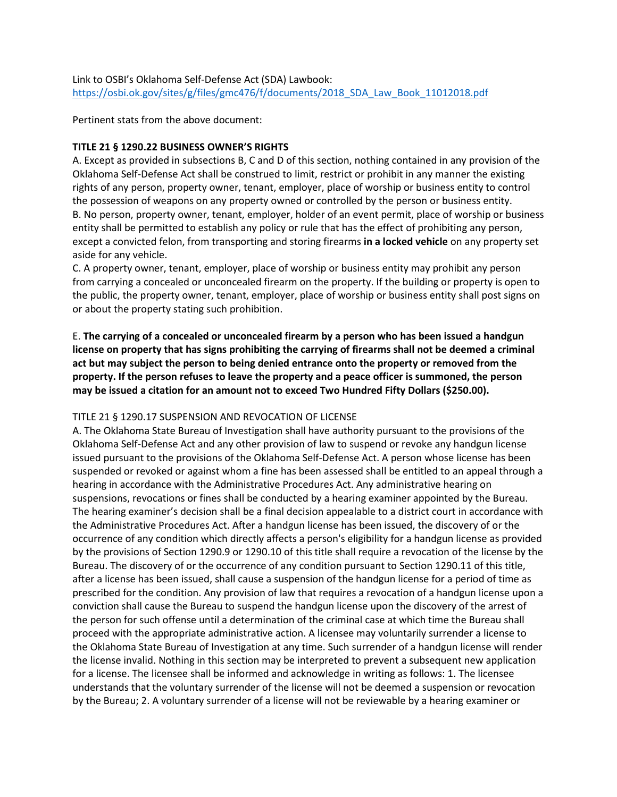## Link to OSBI's Oklahoma Self-Defense Act (SDA) Lawbook: [https://osbi.ok.gov/sites/g/files/gmc476/f/documents/2018\\_SDA\\_Law\\_Book\\_11012018.pdf](https://osbi.ok.gov/sites/g/files/gmc476/f/documents/2018_SDA_Law_Book_11012018.pdf)

Pertinent stats from the above document:

## **TITLE 21 § 1290.22 BUSINESS OWNER'S RIGHTS**

A. Except as provided in subsections B, C and D of this section, nothing contained in any provision of the Oklahoma Self-Defense Act shall be construed to limit, restrict or prohibit in any manner the existing rights of any person, property owner, tenant, employer, place of worship or business entity to control the possession of weapons on any property owned or controlled by the person or business entity. B. No person, property owner, tenant, employer, holder of an event permit, place of worship or business entity shall be permitted to establish any policy or rule that has the effect of prohibiting any person, except a convicted felon, from transporting and storing firearms **in a locked vehicle** on any property set aside for any vehicle.

C. A property owner, tenant, employer, place of worship or business entity may prohibit any person from carrying a concealed or unconcealed firearm on the property. If the building or property is open to the public, the property owner, tenant, employer, place of worship or business entity shall post signs on or about the property stating such prohibition.

E. **The carrying of a concealed or unconcealed firearm by a person who has been issued a handgun license on property that has signs prohibiting the carrying of firearms shall not be deemed a criminal act but may subject the person to being denied entrance onto the property or removed from the property. If the person refuses to leave the property and a peace officer is summoned, the person may be issued a citation for an amount not to exceed Two Hundred Fifty Dollars (\$250.00).**

## TITLE 21 § 1290.17 SUSPENSION AND REVOCATION OF LICENSE

A. The Oklahoma State Bureau of Investigation shall have authority pursuant to the provisions of the Oklahoma Self-Defense Act and any other provision of law to suspend or revoke any handgun license issued pursuant to the provisions of the Oklahoma Self-Defense Act. A person whose license has been suspended or revoked or against whom a fine has been assessed shall be entitled to an appeal through a hearing in accordance with the Administrative Procedures Act. Any administrative hearing on suspensions, revocations or fines shall be conducted by a hearing examiner appointed by the Bureau. The hearing examiner's decision shall be a final decision appealable to a district court in accordance with the Administrative Procedures Act. After a handgun license has been issued, the discovery of or the occurrence of any condition which directly affects a person's eligibility for a handgun license as provided by the provisions of Section 1290.9 or 1290.10 of this title shall require a revocation of the license by the Bureau. The discovery of or the occurrence of any condition pursuant to Section 1290.11 of this title, after a license has been issued, shall cause a suspension of the handgun license for a period of time as prescribed for the condition. Any provision of law that requires a revocation of a handgun license upon a conviction shall cause the Bureau to suspend the handgun license upon the discovery of the arrest of the person for such offense until a determination of the criminal case at which time the Bureau shall proceed with the appropriate administrative action. A licensee may voluntarily surrender a license to the Oklahoma State Bureau of Investigation at any time. Such surrender of a handgun license will render the license invalid. Nothing in this section may be interpreted to prevent a subsequent new application for a license. The licensee shall be informed and acknowledge in writing as follows: 1. The licensee understands that the voluntary surrender of the license will not be deemed a suspension or revocation by the Bureau; 2. A voluntary surrender of a license will not be reviewable by a hearing examiner or